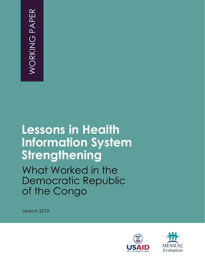# **Lessons in Health Information System Strengthening**  What Worked in the Democratic Republic of the Congo MARIER<br>
MARIER<br>
March 2019<br>
March 2019<br>
March 2019

**March 2019** 



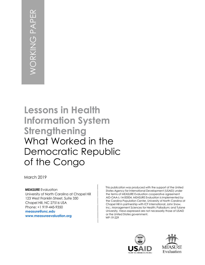# **Lessons in Health Information System Strengthening**  What Worked in the Democratic Republic of the Congo March 2019<br>
March 2019<br>
March 2019<br>
March 2019

**March 2019** 

**MEASURE** Evaluation University of North Carolina at Chapel Hill 123 West Franklin Street, Suite 330 Chapel Hill, NC 27516 USA Phone: +1 919-445-9350 **[measure@unc.edu](mailto:measure@unc.edu) [www.measureevaluation.org](http://www.measureevaluation.org/)**

This publication was produced with the support of the United States Agency for International Development (USAID) under the terms of MEASURE Evaluation cooperative agreement AID-OAA-L-14-00004. MEASURE Evaluation is implemented by the Carolina Population Center, University of North Carolina at Chapel Hill in partnership with ICF International; John Snow, Inc.; Management Sciences for Health; Palladium; and Tulane University. Views expressed are not necessarily those of USAID or the United States government. WP-19-229



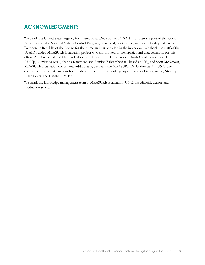#### **ACKNOWLEDGMENTS**

We thank the United States Agency for International Development (USAID) for their support of this work. We appreciate the National Malaria Control Program, provincial, health zone, and health facility staff in the Democratic Republic of the Congo for their time and participation in the interviews. We thank the staff of the USAID-funded MEASURE Evaluation project who contributed to the logistics and data collection for this effort: Ann Fitzgerald and Haroun Habib (both based at the University of North Carolina at Chapel Hill [UNC]), Olivier Kakesa, Johanna Karemere, and Ramine Bahrambegi (all based at ICF), and Scott McKeown, MEASURE Evaluation consultant. Additionally, we thank the MEASURE Evaluation staff at UNC who contributed to the data analysis for and development of this working paper: Lavanya Gupta, Ashley Strahley, Arina Lekht, and Elizabeth Millar.

We thank the knowledge management team at MEASURE Evaluation, UNC, for editorial, design, and production services.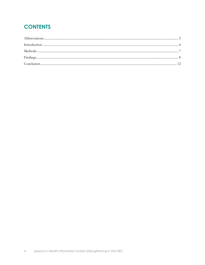# **CONTENTS**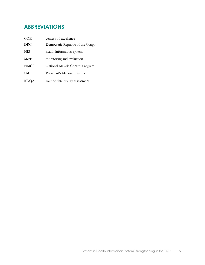## <span id="page-4-0"></span>**ABBREVIATIONS**

| COE         | centers of excellence            |
|-------------|----------------------------------|
| DRC         | Democratic Republic of the Congo |
| HIS         | health information system        |
| M&E         | monitoring and evaluation        |
| <b>NMCP</b> | National Malaria Control Program |
| PMI         | President's Malaria Initiative   |
| RDOA        | routine data quality assessment  |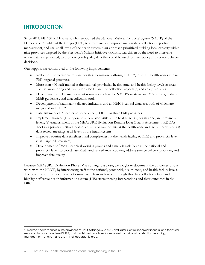### <span id="page-5-0"></span>**INTRODUCTION**

Since 2014, MEASURE Evaluation has supported the National Malaria Control Program (NMCP) of the Democratic Republic of the Congo (DRC) to streamline and improve malaria data collection, reporting, management, and use, at all levels of the health system. Our approach prioritized building local capacity within nine provinces targeted by the President's Malaria Initiative (PMI). It was driven by the need to intervene where data are generated, to promote good-quality data that could be used to make policy and service delivery decisions.

Our support has contributed to the following improvements:

- Rollout of the electronic routine health information platform, DHIS 2, in all 178 health zones in nine PMI-targeted provinces
- More than 400 staff trained at the national, provincial, health zone, and health facility levels in areas such as monitoring and evaluation (M&E) and the collection, reporting, and analysis of data
- Development of HIS management resources such as the NMCP's strategic and M&E plans, malaria M&E guidelines, and data collection tools
- Development of nationally validated indicators and an NMCP central database, both of which are integrated in DHIS 2
- Establishment of 77 centers of excellence (COEs) [1](#page-5-1) in three PMI provinces
- Implementation of (1) supportive supervision visits at the health facility, health zone, and provincial levels; (2) establishment of the MEASURE Evaluation Routine Data Quality Assessment (RDQA) Tool as a primary method to assess quality of routine data at the health zone and facility levels; and (3) data review meetings at all levels of the health system
- Improved routine data timeliness and completeness at the health facility (COEs) and provincial level (PMI targeted provinces)
- Development of M&E technical working groups and a malaria task force at the national and provincial levels to coordinate M&E and surveillance activities, address service delivery priorities, and improve data quality

Because MEASURE Evaluation Phase IV is coming to a close, we sought to document the outcomes of our work with the NMCP, by interviewing staff at the national, provincial, health zone, and health facility levels. The objective of this document is to summarize lessons learned through this data collection effort and highlight effective health information system (HIS) strengthening interventions and their outcomes in the DRC.

 $\overline{a}$ 

<span id="page-5-1"></span><sup>1</sup> Selected health facilities in the provinces of Haut Katanga, Sud Kivu, and Kasai Central received financial and technical resources to access and use DHIS 2, and model best practices for improved malaria data collection, reporting, management, analysis, and use in their geographic area.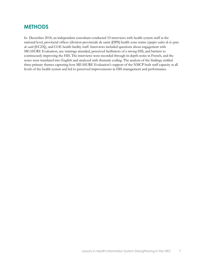#### <span id="page-6-0"></span>**METHODS**

In December 2018, an independent consultant conducted 10 interviews with health system staff at the national level, provincial offices (division provinciale de santé [DPS] health zone teams (*équipes cadres de la zones de santé* [ECZS]), and COE health facility staff. Interviews included questions about engagement with MEASURE Evaluation, any trainings attended, perceived facilitators of a strong HIS, and barriers to continuously improving the HIS. The interviews were recorded through in-depth notes in French, and the notes were translated into English and analyzed with thematic coding. The analysis of the findings yielded three primary themes capturing how MEASURE Evaluation's support of the NMCP built staff capacity at all levels of the health system and led to perceived improvements in HIS management and performance.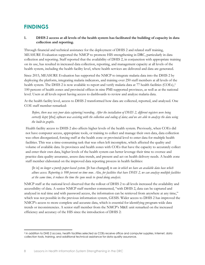#### <span id="page-7-0"></span>**FINDINGS**

 $\overline{a}$ 

#### **1. DHIS 2 access at all levels of the health system has facilitated the building of capacity in data collection and reporting.**

Through financial and technical assistance for the deployment of DHIS 2 and related staff training, MEASURE Evaluation supported the NMCP to promote HIS strengthening in DRC, particularly in data collection and reporting. Staff reported that the availability of DHIS 2, in conjunction with appropriate training on its use, has resulted in increased data collection, reporting, and management capacity at all levels of the health system, including the health facility level, where health services are delivered and data are generated.

Since 2015, MEASURE Evaluation has supported the NMCP to integrate malaria data into the DHIS 2 by deploying the platform, integrating malaria indicators, and training over 250 staff members at all levels of the health system. The DHIS [2](#page-7-1) is now available to report and verify malaria data at 77 health facilities (COEs),<sup>2</sup> 100 percent of health zones and provincial offices in nine PMI-supported provinces, as well as at the national level. Users at all levels report having access to dashboards to review and analyze malaria data.

At the health facility level, access to DHIS 2 transformed how data are collected, reported, and analyzed. One COE staff member remarked:

*Before, there was very poor data capturing/recording. After the installation of DHIS 2, different registers were being correctly kept;* [the] *software was assisting with the collection and coding of data; and we are able to analyze the data using the built-in graphs*.

Health facility access to DHIS 2 also affects higher levels of the health system. Previously, when COEs did not have computer access, appropriate tools, or training to collect and manage their own data, data collection was often disorganized, forcing staff at the health zone or provincial level to enter data for multiple health facilities. This was a time-consuming task that was often left incomplete, which affected the quality and volume of available data. In provinces and health zones with COEs that have the capacity to accurately collect and enter their own data, higher levels of the health system can better leverage their time to oversee and practice data quality assurance, assess data trends, and present and act on health delivery needs. A health zone staff member elaborated on the improved data reporting process in health facilities:

[It is] *no longer a purely paper-based system.* [It has changed] *to one in which we have an available data base which allows access. Reporting is 100 percent on time now. Also, for facilities that have DHIS 2, we can analyze multiple facilities at the same time, it reduces the time the zone needs to spend doing analysis*.

NMCP staff at the national level observed that the rollout of DHIS 2 to all levels increased the availability and accessibility of data. A senior NMCP staff member commented, "with DHIS 2, data can be captured and analyzed in real time and with password access, the information can be retrieved from anywhere at any time," which was not possible in the previous information system, GESIS. Wider access to DHIS 2 has improved the NMCP's access to more complete and accurate data, which is essential for identifying program-wide data trends or inconsistencies. A senior staff member from the NMCP's M&E unit remarked on the increased efficiency and accuracy of the HIS since the introduction of DHIS 2:

<span id="page-7-1"></span><sup>2</sup> In addition to DHIS 2 access, health facilities selected as COEs receive office and computer supplies, Internet, data collection tools, training, and additional technical assistance for data quality assurance.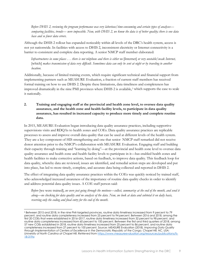*Before DHIS 2, reviewing the program performance was very laborious/time-consuming and certain types of analyses comparing facilities, trends*— *were impossible. Now, with DHIS 2, we know the data is of better quality; there is one data base and so fewer data errors*.

Although the DHIS 2 rollout has expanded noticeably within all levels of the DRC's health system, access is not yet nationwide. In facilities with access to DHIS 2, inconsistent electricity or Internet connectivity is a barrier to consistent and complete data reporting. A senior NMCP staff member elaborated:

*Infrastructures in some places . . . there is not telephone and there is either no* [Internet] *or very unstable/weak Internet,*  [which] *makes transmission of data very difficult. Sometimes data can only be sent at night or by traveling to another location*.

Additionally, because of limited training events, which require significant technical and financial support from implementing partners such as MEASURE Evaluation, a fraction of current staff members has received formal training on how to use DHIS 2. Despite these limitations, data timeliness and completeness has improved dramatically in the nine PMI provinces where DHIS 2 is available,[3](#page-8-0) which supports the case to scale it nationally.

#### **2. Training and engaging staff at the provincial and health zone level, to oversee data quality assurance, and the health zone and health facility levels, to participate in data quality assurance, has resulted in increased capacity to produce more timely and complete routine data.**

In 2015, MEASURE Evaluation began introducing data quality assurance practices, including supportive supervisions visits and RDQAs to health zones and COEs. Data quality assurance practices are replicable processes to assess and improve overall data quality that can be used at different levels of the health system. They are a key component of HIS strengthening and one that senior NMCP staff remarked did not receive donor attention prior to the NMCP's collaboration with MEASURE Evaluation. Engaging staff and building their capacity through training and "learning by doing"—at the provincial and health zone level to oversee data quality assurance and health zone and health facility levels to participate in it—has enabled health zones and health facilities to make corrective actions, based on feedback, to improve data quality. This feedback loop for data quality, whereby data are reviewed, issues are identified, and remedial action steps are developed and put into place, has led to more timely, complete, and accurate data being collected and reported in DHIS 2.

The effect of integrating data quality assurance practices within the COEs was quickly noticed by trained staff, who acknowledged increased awareness of the importance of routine data quality checks in order to identify and address potential data quality issues. A COE staff person said:

*Before* [we were trained], *we were just going through the motions—collect, summarize at the end of the month, and send it along—no checking for data quality and no analysis of the data. Now, we look at data and subtotal it on daily basis, reserving only the coding and final entry for the end of the month*.

 $\overline{a}$ 

<span id="page-8-0"></span><sup>3</sup> Between 2015 and 2018, in the nine PMI-targeted provinces, routine data timeliness increased from 9 percent to 79 percent, and routine data completeness increased from 25 percent to 94 percent. Between 2016 and 2018, among the first 20 COEs that were established in 2016–2017, routine data timeliness increased from 32 percent to 98 percent, and routine data completeness increased from 60 percent to 100 percent. Between the first and third quarters of 2018, among 57 new COEs established in 2018, routine data timeliness increased from 25 percent to 86 percent, and routine data completeness increased from 27 percent to 100 percent. Source: MEASURE Evaluation (2018). *Improving Data Quality through Implementation of Centers of Excellence in the Democratic Republic of the Congo. Chapel Hill, NC, USA: University of North Carolina at Chapel Hill. Retrieved from* [https://www.measureevaluation.org/resources/publications/fs-](https://www.measureevaluation.org/resources/publications/fs-18-319a)[18-319a](https://www.measureevaluation.org/resources/publications/fs-18-319a)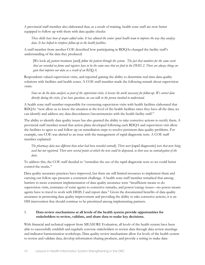A provincial staff member also elaborated that, as a result of training, health zone staff are now better equipped to follow up with them with data quality checks:

*These skills have been of major added value. It has allowed the senior zonal health team to improve the way they analyze data. It has helped to reinforce follow-up in the health facilities*.

A staff member from another COE described how participating in RDQAs changed the facility staff's understanding of the data they produced:

[We look at] *patient treatment,* [and] *follow the patient through the system. The fact that numbers for the same event that are recorded on forms and registers have to be the same ones that we find in the DHIS 2. There are always things we gain that improve our data as a result of an RDQA.*

Respondents valued supervision visits, and reported gaining the ability to determine real-time data quality solutions with facilities and health zones. A COE staff member made the following remark about supervision visits:

*Since we do the data analysis as part of the supervision visits, it lessens the work necessary for follow-up. We correct data directly during the visits, if we have questions, we can talk to the person involved to understand.* 

A health zone staff member responsible for overseeing supervision visits with health facilities elaborated that RDQAs "now allow us to know the situation at the level of the health facilities since they have all the data; we can identify and address any data discordances/inconsistencies with the health facility staff."

The ability to identify data quality issues has also granted the ability to take corrective actions to rectify them. A provincial staff member noted that action plans developed following each RDQA and supervision visit allow the facilities to agree to and follow up on remediation steps to resolve persistent data quality problems. For example, one COE was alerted to an issue with the management of rapid diagnostic tests. A COE staff member explained:

*The pharmacy data was different than what had been recorded centrally. There were* [rapid diagnostic] *tests that were being used but not registered. There were several points at which the tests could be dispensed, so there was no centralization of the data.* 

To address this, the COE staff decided to "centralize the use of the rapid diagnostic tests so we could better control the stocks."

Data quality assurance practices have improved, but there are still limited resources to implement them and carrying out follow-ups presents a consistent challenge. A health zone staff member remarked that among barriers to more consistent implementation of data quality assurance were "insufficient means to do supervision visits, resistance of some agents to corrective remarks, and power/energy issues—no power means agents have to travel to work with DHIS 2 and report data." Given the documented benefits of data quality assurance in promoting data quality improvement and providing the ability to take corrective actions, it is an HIS intervention that should continue to be prioritized among implementing partners.

#### 3. **Data review mechanisms at all levels of the health system provide opportunities for stakeholders to review, validate, and share data to make key decisions.**

With financial and technical support from MEASURE Evaluation, all levels of the health system have been able to successfully establish and regularly convene stakeholders to review data through data review meetings and indicator harmonization workshops. Data quality review mechanisms allow for levels of the health system to review and validate data, develop information-sharing products, and provide a setting to make data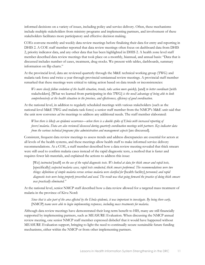informed decisions on a variety of issues, including policy and service delivery. Often, these mechanisms include multiple stakeholders from ministry programs and implementing partners, and involvement of these stakeholders facilitates more participatory and effective decision making.

COEs convene monthly and weekly data review meetings before finalizing their data for entry and reporting in DHIS 2. A COE staff member reported that data review meetings often focus on dashboard data from DHIS 2, priority indicator data, and any other data that has been highlighted in DHIS 2. A health zone level staff member described data review meetings that took place on a monthly, biannual, and annual basis: "Data that is discussed includes number of cases, treatment, drug stocks. We present with tables, dashboards, summary information on flip charts."

At the provincial level, data are reviewed quarterly through the M&E technical working group (TWG) and malaria task force and twice a year through provincial semiannual review meetings. A provincial staff member remarked that these meetings were critical to taking action based on data trends or inconsistencies:

*We more closely follow evolution of the health situation, trends, take action more quickly,* [and] *to better coordinate* [with stakeholders]. [What we learned from participating in this TWG] *is the need/advantage of being able to look comprehensively at the health situation in the province, and effectiveness, efficiency of good coordination*.

At the national level, in addition to regularly scheduled meetings with various stakeholders (such as the national-level M&E TWG and malaria task force) a senior staff member from the NMCP's M&E unit said that the unit now convenes *ad hoc* meetings to address any additional needs. The staff member elaborated:

*When there is likely an epidemic occurrence—when there is a double spike of Ebola with increased reporting of fevers/malaria. Data are also reviewed/discussed during quarterly coordination meetings with partners. Key indicator data from the various technical programs plus administration and management aspects* [are discussed].

Consistent, frequent data review meetings to assess trends and address discrepancies are essential for actors at all levels of the health systems, and these meetings allow health staff to make informed service delivery recommendations. At a COE, a staff member described how a data review meeting revealed that thick smears were still used to confirm malaria cases instead of the rapid diagnostic tests, a method that is faster and requires fewer lab materials, and explained the actions to address this issue:

[We] *instructed* [staff] *on the use of the rapid diagnostic tests. We looked at data for thick smear and rapid tests,*  [specifically] *suspected malaria cases, rapid tests conducted, thick smears performed. The recommendations were two things: definitions of simple malaria versus serious malaria were clarified for* [health facility] *personnel; and rapid diagnostic tests were being properly prescribed and used. The result was that going forward the practice of doing thick smears was practically eliminated."* 

At the national level, senior NMCP staff described how a data review allowed for a targeted mass treatment of malaria in the province of Kivu Nord:

*Since that is also part of the area affected by the Ebola epidemic, it was important to investigate. By being there early,*  [NMCP] *teams were able to begin implementing responses, including mass treatments for malaria*.

<span id="page-10-0"></span>Although data review meetings have demonstrated their long-term benefit to HIS, many are still financially supported by implementing partners, such as MEASURE Evaluation. When discussing the NMCP annual review meeting, one senior NMCP staff member expressed disbelief that it would have happened without MEASURE Evaluation support, bringing to light the need to continually secure sustainable future funding mechanisms, either within the NMCP or from other implementing partners.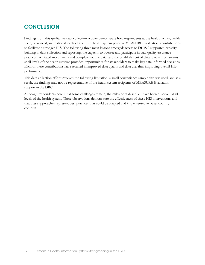#### **CONCLUSION**

Findings from this qualitative data collection activity demonstrate how respondents at the health facility, health zone, provincial, and national levels of the DRC health system perceive MEASURE Evaluation's contributions to facilitate a stronger HIS. The following three main lessons emerged: access to DHIS 2 supported capacity building in data collection and reporting; the capacity to oversee and participate in data quality assurance practices facilitated more timely and complete routine data; and the establishment of data review mechanisms at all levels of the health systems provided opportunities for stakeholders to make key data-informed decisions. Each of these contributions have resulted in improved data quality and data use, thus improving overall HIS performance.

This data collection effort involved the following limitation: a small convenience sample size was used, and as a result, the findings may not be representative of the health system recipients of MEASURE Evaluation support in the DRC.

Although respondents noted that some challenges remain, the milestones described have been observed at all levels of the health system. These observations demonstrate the effectiveness of these HIS interventions and that these approaches represent best practices that could be adapted and implemented in other country contexts.